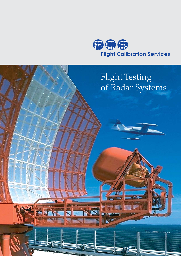

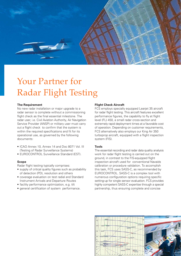

# Your Partner for Radar Flight Testing

#### **The Requirement**

No new radar installation or major upgrade to a radar sensor is complete without a commissioning flight check as the final essential milestone. The radar user, i.e. Civil Aviation Authority, Air Navigation Service Provider (ANSP) or military user must carry out a flight check to confirm that the system is within the required specifications and fit for its operational use, as governed by the following documents:

- ICAO Annex 10, Annex 14 and Doc 8071 Vol. III (Testing of Radar Surveillance Systems)
- EUROCONTROL Surveillance Standard (EST).

### **Scope**

Radar flight testing typically comprises:

- supply of critical quality figures such as probability of detection (PD), resolution and others
- coverage evaluation on test radial and Standard Instrument Arrivals and Departure Routes
- facility performance optimization, e.g. tilt
- general certification of system performance.

#### **Flight Check Aircraft**

FCS employs specially equipped Learjet 35 aircraft for radar flight testing. This aircraft features excellent performance figures, the capability to fly at flight level (FL) 450, a small radar cross-section and extremely rapid deployment times at a favorable cost of operation. Depending on customer requirements, FCS alternatively also employs our King Air 350 turboprop aircraft, equipped with a flight inspection system (FIS).

#### **Tools**

The essential recording and radar data quality analysis work for radar flight testing is carried out on the ground, in contrast to the FIS-equipped flight inspection aircraft used for conventional Navaids calibration or procedure validation. To accomplish this task, FCS uses SASS-C, as recommended by EUROCONTROL. SASS-C is a complex tool with numerous configuration options requiring specific setting-up for single sensor evaluation. FCS provides highly competent SASS-C expertise through a special partnership, thus ensuring complete and concise

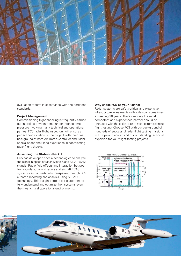

evaluation reports in accordance with the pertinent standards.

### **Project Management**

Commissioning flight checking is frequently carried out in project environments under intense time pressure involving many technical and operational parties. FCS radar flight inspectors will ensure a perfect co-ordination of the project with their dual background of both Air Traffic Controller and radar specialist and their long experience in coordinating radar flight checks.

#### **Advancing the State-of-the-Art**

FCS has developed special technologies to analyze the signal-in-space of radar, Mode S and MLAT/WAM signals. Radio field effects and interaction between transponders, ground radars and aircraft TCAS systems can be made fully transparent through FCS airborne recording and analysis using SISMOS technology. This insight permits our customers to fully understand and optimize their systems even in the most critical operational environments.

#### **Why chose FCS as your Partner**

Radar systems are safety-critical and expensive infrastructure investments with a life span sometimes exceeding 20 years. Therefore, only the most competent and experienced partner should be entrusted with the critical task of radar commissioning flight testing. Choose FCS with our background of hundreds of successful radar flight testing missions in Europe and abroad and our outstanding technical expertise for your flight testing projects.